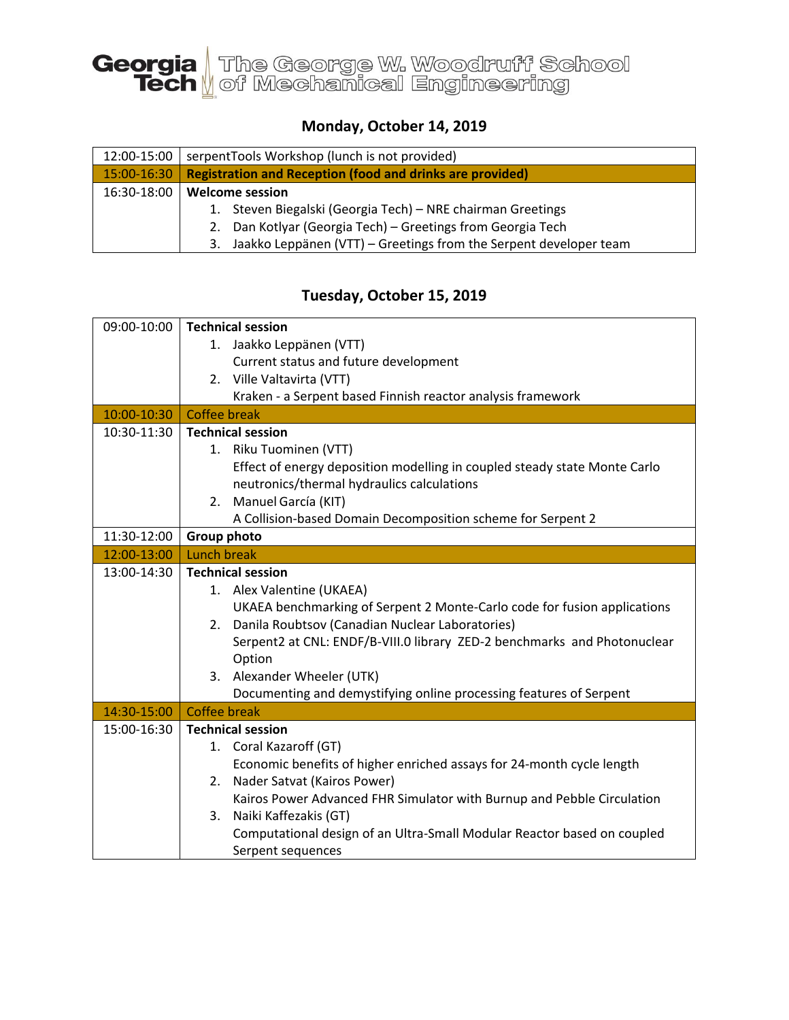

## **Monday, October 14, 2019**

| 12:00-15:00 | serpentTools Workshop (lunch is not provided)                           |
|-------------|-------------------------------------------------------------------------|
| 15:00-16:30 | <b>Registration and Reception (food and drinks are provided)</b>        |
| 16:30-18:00 | <b>Welcome session</b>                                                  |
|             | 1. Steven Biegalski (Georgia Tech) – NRE chairman Greetings             |
|             | Dan Kotlyar (Georgia Tech) – Greetings from Georgia Tech<br>2.          |
|             | Jaakko Leppänen (VTT) – Greetings from the Serpent developer team<br>3. |

## **Tuesday, October 15, 2019**

| 09:00-10:00 | <b>Technical session</b>                                                  |
|-------------|---------------------------------------------------------------------------|
|             | 1. Jaakko Leppänen (VTT)                                                  |
|             | Current status and future development                                     |
|             | 2. Ville Valtavirta (VTT)                                                 |
|             | Kraken - a Serpent based Finnish reactor analysis framework               |
| 10:00-10:30 | <b>Coffee break</b>                                                       |
| 10:30-11:30 | <b>Technical session</b>                                                  |
|             | 1. Riku Tuominen (VTT)                                                    |
|             | Effect of energy deposition modelling in coupled steady state Monte Carlo |
|             | neutronics/thermal hydraulics calculations                                |
|             | 2. Manuel García (KIT)                                                    |
|             | A Collision-based Domain Decomposition scheme for Serpent 2               |
| 11:30-12:00 | <b>Group photo</b>                                                        |
| 12:00-13:00 | Lunch break                                                               |
| 13:00-14:30 | <b>Technical session</b>                                                  |
|             | 1. Alex Valentine (UKAEA)                                                 |
|             | UKAEA benchmarking of Serpent 2 Monte-Carlo code for fusion applications  |
|             | 2. Danila Roubtsov (Canadian Nuclear Laboratories)                        |
|             | Serpent2 at CNL: ENDF/B-VIII.0 library ZED-2 benchmarks and Photonuclear  |
|             | Option                                                                    |
|             | 3. Alexander Wheeler (UTK)                                                |
|             | Documenting and demystifying online processing features of Serpent        |
| 14:30-15:00 | <b>Coffee break</b>                                                       |
| 15:00-16:30 | <b>Technical session</b>                                                  |
|             | 1. Coral Kazaroff (GT)                                                    |
|             | Economic benefits of higher enriched assays for 24-month cycle length     |
|             | 2. Nader Satvat (Kairos Power)                                            |
|             | Kairos Power Advanced FHR Simulator with Burnup and Pebble Circulation    |
|             | Naiki Kaffezakis (GT)<br>3.                                               |
|             | Computational design of an Ultra-Small Modular Reactor based on coupled   |
|             | Serpent sequences                                                         |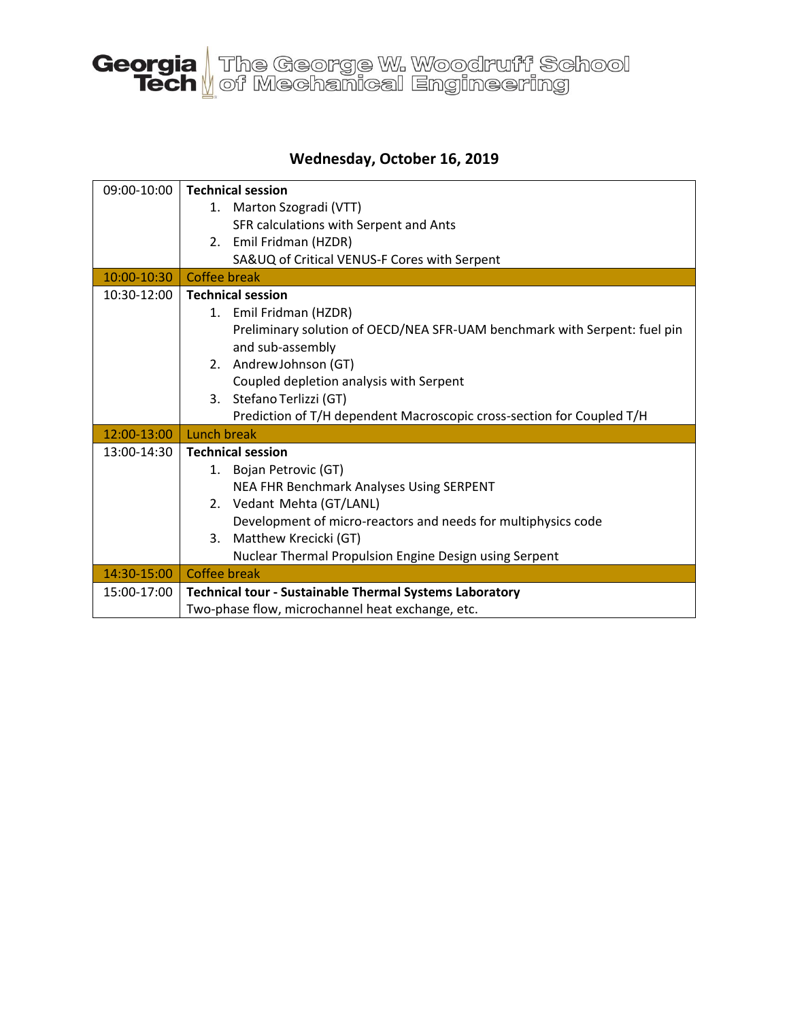

## **Wednesday, October 16, 2019**

| 09:00-10:00 | <b>Technical session</b>                                                  |
|-------------|---------------------------------------------------------------------------|
|             | 1. Marton Szogradi (VTT)                                                  |
|             | SFR calculations with Serpent and Ants                                    |
|             | 2. Emil Fridman (HZDR)                                                    |
|             | SA&UQ of Critical VENUS-F Cores with Serpent                              |
| 10:00-10:30 | Coffee break                                                              |
| 10:30-12:00 | <b>Technical session</b>                                                  |
|             | 1. Emil Fridman (HZDR)                                                    |
|             | Preliminary solution of OECD/NEA SFR-UAM benchmark with Serpent: fuel pin |
|             | and sub-assembly                                                          |
|             | 2. AndrewJohnson (GT)                                                     |
|             | Coupled depletion analysis with Serpent                                   |
|             | 3. Stefano Terlizzi (GT)                                                  |
|             | Prediction of T/H dependent Macroscopic cross-section for Coupled T/H     |
| 12:00-13:00 | Lunch break                                                               |
| 13:00-14:30 | <b>Technical session</b>                                                  |
|             | 1. Bojan Petrovic (GT)                                                    |
|             | NEA FHR Benchmark Analyses Using SERPENT                                  |
|             | 2. Vedant Mehta (GT/LANL)                                                 |
|             | Development of micro-reactors and needs for multiphysics code             |
|             | Matthew Krecicki (GT)<br>3.                                               |
|             | Nuclear Thermal Propulsion Engine Design using Serpent                    |
| 14:30-15:00 | <b>Coffee break</b>                                                       |
| 15:00-17:00 | <b>Technical tour - Sustainable Thermal Systems Laboratory</b>            |
|             | Two-phase flow, microchannel heat exchange, etc.                          |